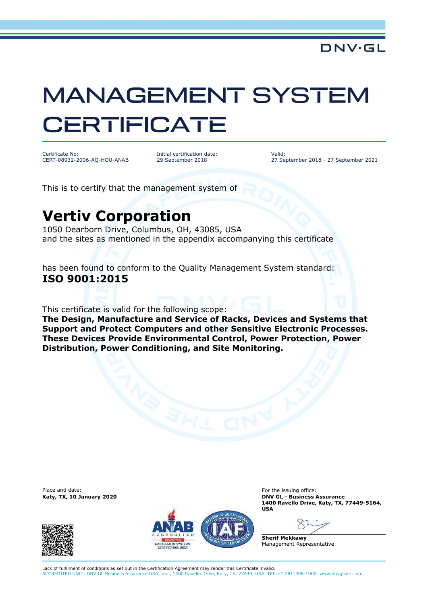## **MANAGEMENT SYSTEM CERTIFICATE**

Certificate No: CERT-08932-2006-AQ-HOU-ANAB Initial certification date: 29 September 2018

Valid: 27 September 2018 - 27 September 2021

This is to certify that the management system of

## **Vertiv Corporation**

1050 Dearborn Drive, Columbus, OH, 43085, USA and the sites as mentioned in the appendix accompanying this certificate

has been found to conform to the Quality Management System standard: **ISO 9001:2015**

This certificate is valid for the following scope:

**The Design, Manufacture and Service of Racks, Devices and Systems that Support and Protect Computers and other Sensitive Electronic Processes. These Devices Provide Environmental Control, Power Protection, Power Distribution, Power Conditioning, and Site Monitoring.**

Place and date:





For the issuing office: **Katy, TX, 10 January 2020 DNV GL - Business Assurance 1400 Ravello Drive, Katy, TX, 77449-5164, USA**

**Sherif Mekkawy** Management Representative

Lack of fulfilment of conditions as set out in the Certification Agreement may render this Certificate invalid. ACCREDITED UNIT: DNV GL Business Assurance USA, Inc., 1400 Ravello Drive, Katy, TX, 77449, USA. TEL:+1 281-396-1000. www.dnvglcert.com